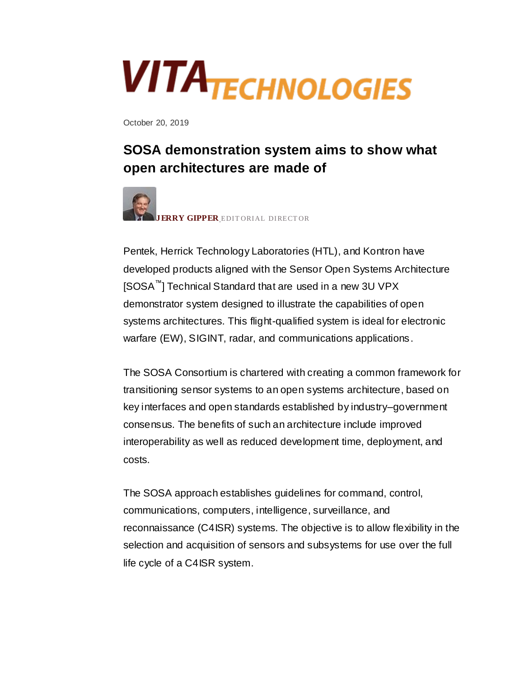## **VITATECHNOLOGIES**

October 20, 2019

## **SOSA demonstration system aims to show what open architectures are made of**



Pentek, Herrick Technology Laboratories (HTL), and Kontron have developed products aligned with the Sensor Open Systems Architecture [SOSA™] Technical Standard that are used in a new 3U VPX demonstrator system designed to illustrate the capabilities of open systems architectures. This flight-qualified system is ideal for electronic warfare (EW), SIGINT, radar, and communications applications.

The SOSA Consortium is chartered with creating a common framework for transitioning sensor systems to an open systems architecture, based on key interfaces and open standards established by industry–government consensus. The benefits of such an architecture include improved interoperability as well as reduced development time, deployment, and costs.

The SOSA approach establishes guidelines for command, control, communications, computers, intelligence, surveillance, and reconnaissance (C4ISR) systems. The objective is to allow flexibility in the selection and acquisition of sensors and subsystems for use over the full life cycle of a C4ISR system.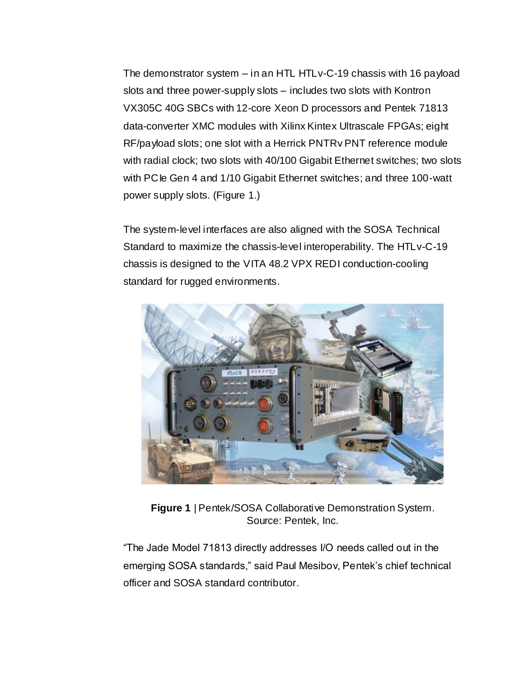The demonstrator system – in an HTL HTLv-C-19 chassis with 16 payload slots and three power-supply slots – includes two slots with Kontron VX305C 40G SBCs with 12-core Xeon D processors and Pentek 71813 data-converter XMC modules with Xilinx Kintex Ultrascale FPGAs; eight RF/payload slots; one slot with a Herrick PNTRv PNT reference module with radial clock; two slots with 40/100 Gigabit Ethernet switches; two slots with PC le Gen 4 and 1/10 Gigabit Ethernet switches; and three 100-watt power supply slots. (Figure 1.)

The system-level interfaces are also aligned with the SOSA Technical Standard to maximize the chassis-level interoperability. The HTLv-C-19 chassis is designed to the VITA 48.2 VPX REDI conduction-cooling standard for rugged environments.



**Figure 1** | Pentek/SOSA Collaborative Demonstration System. Source: Pentek, Inc.

"The Jade Model 71813 directly addresses I/O needs called out in the emerging SOSA standards," said Paul Mesibov, Pentek's chief technical officer and SOSA standard contributor.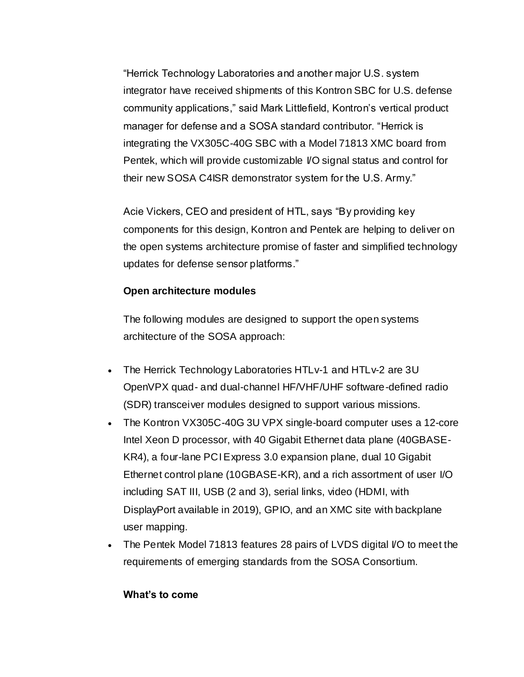"Herrick Technology Laboratories and another major U.S. system integrator have received shipments of this Kontron SBC for U.S. defense community applications," said Mark Littlefield, Kontron's vertical product manager for defense and a SOSA standard contributor. "Herrick is integrating the VX305C-40G SBC with a Model 71813 XMC board from Pentek, which will provide customizable I/O signal status and control for their new SOSA C4ISR demonstrator system for the U.S. Army."

Acie Vickers, CEO and president of HTL, says "By providing key components for this design, Kontron and Pentek are helping to deliver on the open systems architecture promise of faster and simplified technology updates for defense sensor platforms."

## **Open architecture modules**

The following modules are designed to support the open systems architecture of the SOSA approach:

- The Herrick Technology Laboratories HTLv-1 and HTLv-2 are 3U OpenVPX quad- and dual-channel HF/VHF/UHF software-defined radio (SDR) transceiver modules designed to support various missions.
- The Kontron VX305C-40G 3U VPX single-board computer uses a 12-core Intel Xeon D processor, with 40 Gigabit Ethernet data plane (40GBASE-KR4), a four-lane PCI Express 3.0 expansion plane, dual 10 Gigabit Ethernet control plane (10GBASE-KR), and a rich assortment of user I/O including SAT III, USB (2 and 3), serial links, video (HDMI, with DisplayPort available in 2019), GPIO, and an XMC site with backplane user mapping.
- The Pentek Model 71813 features 28 pairs of LVDS digital VO to meet the requirements of emerging standards from the SOSA Consortium.

## **What's to come**